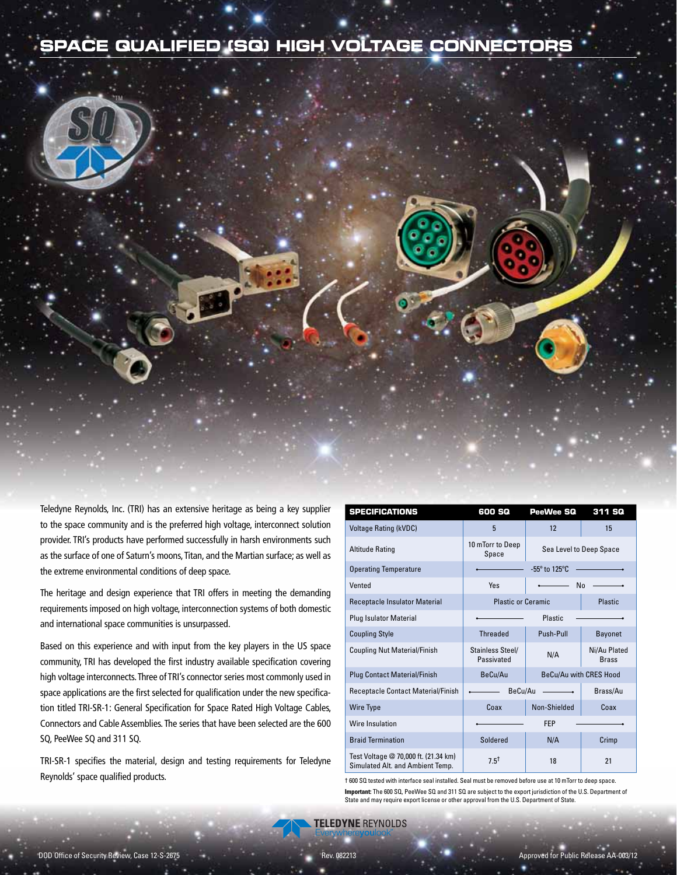# **SPACE QUALIFIED (SQ) HIGH VOLTAGE CONNECTORS**



Teledyne Reynolds, Inc. (TRI) has an extensive heritage as being a key supplier to the space community and is the preferred high voltage, interconnect solution provider. TRI's products have performed successfully in harsh environments such as the surface of one of Saturn's moons, Titan, and the Martian surface; as well as the extreme environmental conditions of deep space.

The heritage and design experience that TRI offers in meeting the demanding requirements imposed on high voltage, interconnection systems of both domestic and international space communities is unsurpassed.

Based on this experience and with input from the key players in the US space community, TRI has developed the first industry available specification covering high voltage interconnects. Three of TRI's connector series most commonly used in space applications are the first selected for qualification under the new specification titled TRI-SR-1: General Specification for Space Rated High Voltage Cables, Connectors and Cable Assemblies. The series that have been selected are the 600 SQ, PeeWee SQ and 311 SQ.

TRI-SR-1 specifies the material, design and testing requirements for Teledyne Reynolds' space qualified products.

| <b>SPECIFICATIONS</b>                                                    | 600 SQ                         | PeeWee SQ                                  | 311 SQ                       |
|--------------------------------------------------------------------------|--------------------------------|--------------------------------------------|------------------------------|
| <b>Voltage Rating (kVDC)</b>                                             | 5                              | 12                                         | 15                           |
| <b>Altitude Rating</b>                                                   | 10 mTorr to Deep<br>Space      | Sea Level to Deep Space                    |                              |
| <b>Operating Temperature</b>                                             |                                | $-55^{\circ}$ to 125°C.                    |                              |
| Vented                                                                   | Yes                            | N <sub>0</sub><br>$\overline{\phantom{a}}$ |                              |
| Receptacle Insulator Material                                            | <b>Plastic or Ceramic</b>      |                                            | Plastic                      |
| <b>Plug Isulator Material</b>                                            |                                | Plastic                                    |                              |
| <b>Coupling Style</b>                                                    | <b>Threaded</b>                | Push-Pull                                  | <b>Bayonet</b>               |
| <b>Coupling Nut Material/Finish</b>                                      | Stainless Steel/<br>Passivated | N/A                                        | Ni/Au Plated<br><b>Brass</b> |
| <b>Plug Contact Material/Finish</b>                                      | BeCu/Au                        |                                            | BeCu/Au with CRES Hood       |
| <b>Receptacle Contact Material/Finish</b>                                | BeCu/Au                        |                                            | Brass/Au                     |
| <b>Wire Type</b>                                                         | Coax                           | Non-Shielded                               | Coax                         |
| Wire Insulation                                                          |                                | <b>FEP</b>                                 |                              |
| <b>Braid Termination</b>                                                 | Soldered                       | N/A                                        | Crimp                        |
| Test Voltage @ 70,000 ft. (21.34 km)<br>Simulated Alt. and Ambient Temp. | $7.5^{\dagger}$                | 18                                         | 21                           |

† 600 SQ tested with interface seal installed. Seal must be removed before use at 10 mTorr to deep space. **Important:** The 600 SQ, PeeWee SQ and 311 SQ are subject to the export jurisdiction of the U.S. Department of State and may require export license or other approval from the U.S. Department of State.

**TELEDYNE REYNOLDS**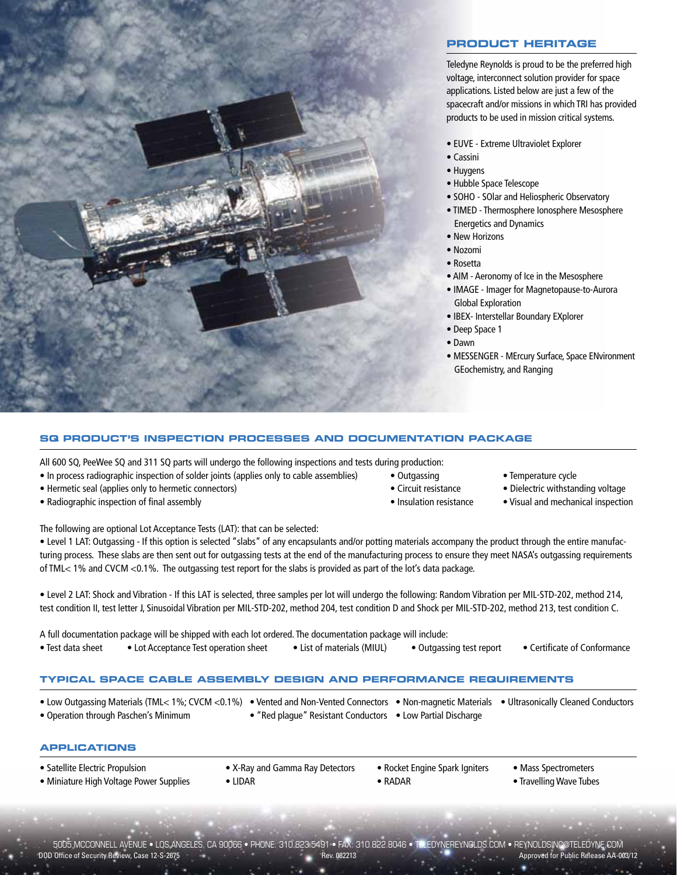

### **PRODUCT HERITAGE**

Teledyne Reynolds is proud to be the preferred high voltage, interconnect solution provider for space applications. Listed below are just a few of the spacecraft and/or missions in which TRI has provided products to be used in mission critical systems.

- EUVE Extreme Ultraviolet Explorer
- Cassini
- Huygens
- Hubble Space Telescope
- SOHO SOlar and Heliospheric Observatory
- TIMED Thermosphere Ionosphere Mesosphere Energetics and Dynamics
- New Horizons
- Nozomi
- Rosetta
- AIM Aeronomy of Ice in the Mesosphere
- IMAGE Imager for Magnetopause-to-Aurora Global Exploration
- IBEX- Interstellar Boundary EXplorer
- Deep Space 1
- Dawn
- MESSENGER MErcury Surface, Space ENvironment GEochemistry, and Ranging

### **SQ PRODUCT'S INSPECTION PROCESSES AND DOCUMENTATION PACKAGE**

All 600 SQ, PeeWee SQ and 311 SQ parts will undergo the following inspections and tests during production:

- In process radiographic inspection of solder joints (applies only to cable assemblies) Outgassing Temperature cycle
- Hermetic seal (applies only to hermetic connectors) Circuit resistance Dielectric withstanding voltage
- Radiographic inspection of final assembly equal to the state of the local inspection of final assembly the state of the local inspection of final assembly the state of the local inspection of final assembly the state of
- 
- 
- 
- 
- 
- 

The following are optional Lot Acceptance Tests (LAT): that can be selected:

• Level 1 LAT: Outgassing - If this option is selected "slabs" of any encapsulants and/or potting materials accompany the product through the entire manufacturing process. These slabs are then sent out for outgassing tests at the end of the manufacturing process to ensure they meet NASA's outgassing requirements of TML< 1% and CVCM <0.1%. The outgassing test report for the slabs is provided as part of the lot's data package.

• Level 2 LAT: Shock and Vibration - If this LAT is selected, three samples per lot will undergo the following: Random Vibration per MIL-STD-202, method 214, test condition II, test letter J, Sinusoidal Vibration per MIL-STD-202, method 204, test condition D and Shock per MIL-STD-202, method 213, test condition C.

| A full documentation package will be shipped with each lot ordered. The documentation package will include: |                                       |                                                     |  |                              |  |  |  |  |  |  |
|-------------------------------------------------------------------------------------------------------------|---------------------------------------|-----------------------------------------------------|--|------------------------------|--|--|--|--|--|--|
| • Test data sheet                                                                                           | • Lot Acceptance Test operation sheet | • List of materials (MIUL) • Outgassing test report |  | • Certificate of Conformance |  |  |  |  |  |  |

### **TYPICAL SPACE CABLE ASSEMBLY DESIGN AND PERFORMANCE REQUIREMENTS**

| • Low Outgassing Materials (TML< 1%; CVCM <0.1%) • Vented and Non-Vented Connectors • Non-magnetic Materials • Ultrasonically Cleaned Conductors |                                                             |  |
|--------------------------------------------------------------------------------------------------------------------------------------------------|-------------------------------------------------------------|--|
| • Operation through Paschen's Minimum                                                                                                            | • "Red plague" Resistant Conductors • Low Partial Discharge |  |

### **APPLICATIONS**

| • Satellite Electric Propulsion         | • X-Ray and Gamma Ray Detectors | • Rocket Engine Spark Igniters | • Mass Spectrometers    |
|-----------------------------------------|---------------------------------|--------------------------------|-------------------------|
| • Miniature High Voltage Power Supplies | LIDAR                           | $\bullet$ RADAR                | • Travelling Wave Tubes |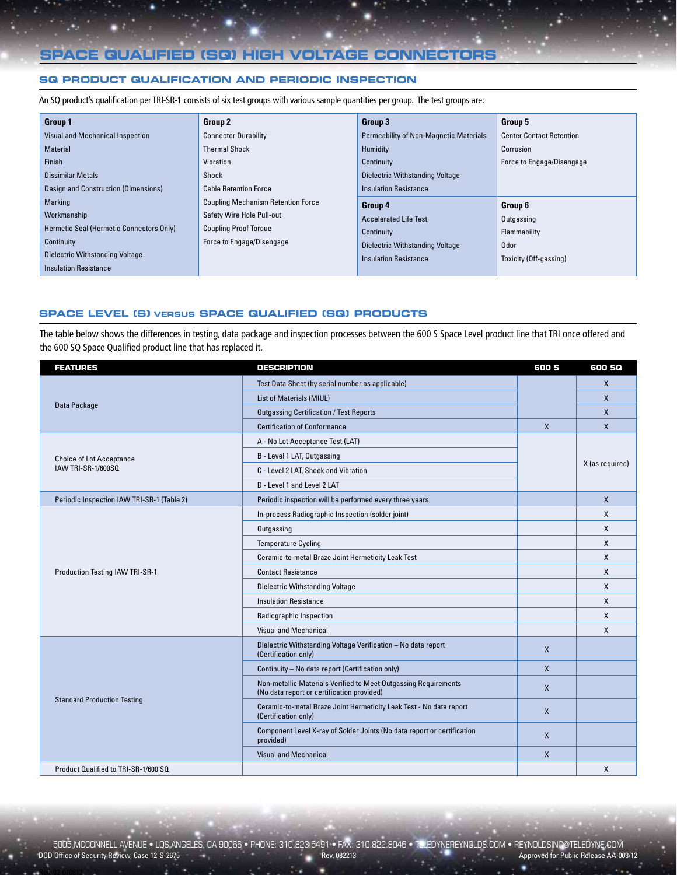# **SPACE QUALIFIED (SQ) HIGH VOLTAGE CONNECTORS**

### **SQ PRODUCT QUALIFICATION AND PERIODIC INSPECTION**

An SQ product's qualification per TRI-SR-1 consists of six test groups with various sample quantities per group. The test groups are:

| <b>Group 1</b>                           | <b>Group 2</b>                            | Group 3                                | Group 5                         |
|------------------------------------------|-------------------------------------------|----------------------------------------|---------------------------------|
| Visual and Mechanical Inspection         | <b>Connector Durability</b>               | Permeability of Non-Magnetic Materials | <b>Center Contact Retention</b> |
| <b>Material</b>                          | <b>Thermal Shock</b>                      | Humidity                               | Corrosion                       |
| Finish                                   | Vibration                                 | Continuity                             | Force to Engage/Disengage       |
| Dissimilar Metals                        | Shock                                     | Dielectric Withstanding Voltage        |                                 |
| Design and Construction (Dimensions)     | <b>Cable Retention Force</b>              | <b>Insulation Resistance</b>           |                                 |
| Marking                                  | <b>Coupling Mechanism Retention Force</b> | Group 4                                | Group 6                         |
| Workmanship                              | Safety Wire Hole Pull-out                 | <b>Accelerated Life Test</b>           | Outgassing                      |
| Hermetic Seal (Hermetic Connectors Only) | <b>Coupling Proof Torque</b>              | Continuity                             | Flammability                    |
| Continuity                               | Force to Engage/Disengage                 | Dielectric Withstanding Voltage        | <b>Odor</b>                     |
| Dielectric Withstanding Voltage          |                                           | <b>Insulation Resistance</b>           | Toxicity (Off-gassing)          |
| <b>Insulation Resistance</b>             |                                           |                                        |                                 |

#### **SPACE LEVEL (S) VERSUS SPACE QUALIFIED (SQ) PRODUCTS**

The table below shows the differences in testing, data package and inspection processes between the 600 S Space Level product line that TRI once offered and the 600 SQ Space Qualified product line that has replaced it.

| <b>FEATURES</b>                            | <b>DESCRIPTION</b>                                                                                            | 600 S        | 600 SQ          |
|--------------------------------------------|---------------------------------------------------------------------------------------------------------------|--------------|-----------------|
|                                            | Test Data Sheet (by serial number as applicable)                                                              |              | $\mathsf{X}$    |
|                                            | List of Materials (MIUL)                                                                                      |              | $\mathsf{X}$    |
| Data Package                               | <b>Outgassing Certification / Test Reports</b>                                                                |              | $\mathsf{X}$    |
|                                            | <b>Certification of Conformance</b>                                                                           | $\mathsf{X}$ | $\mathsf{X}$    |
|                                            | A - No Lot Acceptance Test (LAT)                                                                              |              |                 |
| <b>Choice of Lot Acceptance</b>            | B - Level 1 LAT, Outgassing                                                                                   |              |                 |
| IAW TRI-SR-1/600SQ                         | C - Level 2 LAT, Shock and Vibration                                                                          |              | X (as required) |
|                                            | D - Level 1 and Level 2 LAT                                                                                   |              |                 |
| Periodic Inspection IAW TRI-SR-1 (Table 2) | Periodic inspection will be performed every three years                                                       |              | $\mathsf{X}$    |
|                                            | In-process Radiographic Inspection (solder joint)                                                             |              | X               |
|                                            | Outgassing                                                                                                    |              | X               |
|                                            | <b>Temperature Cycling</b>                                                                                    |              | X               |
|                                            | Ceramic-to-metal Braze Joint Hermeticity Leak Test                                                            |              | X               |
| Production Testing IAW TRI-SR-1            | <b>Contact Resistance</b>                                                                                     |              | X               |
|                                            | Dielectric Withstanding Voltage                                                                               |              | X               |
|                                            | <b>Insulation Resistance</b>                                                                                  |              | X               |
|                                            | Radiographic Inspection                                                                                       |              | X               |
|                                            | Visual and Mechanical                                                                                         |              | $\mathsf{x}$    |
|                                            | Dielectric Withstanding Voltage Verification - No data report<br>(Certification only)                         | $\mathsf{x}$ |                 |
|                                            | Continuity - No data report (Certification only)                                                              | $\mathsf{X}$ |                 |
|                                            | Non-metallic Materials Verified to Meet Outgassing Requirements<br>(No data report or certification provided) | $\mathsf{X}$ |                 |
| <b>Standard Production Testing</b>         | Ceramic-to-metal Braze Joint Hermeticity Leak Test - No data report<br>(Certification only)                   | $\mathsf{X}$ |                 |
|                                            | Component Level X-ray of Solder Joints (No data report or certification<br>provided)                          | $\mathsf{X}$ |                 |
|                                            | <b>Visual and Mechanical</b>                                                                                  | $\mathsf{X}$ |                 |
| Product Qualified to TRI-SR-1/600 SQ       |                                                                                                               |              | X               |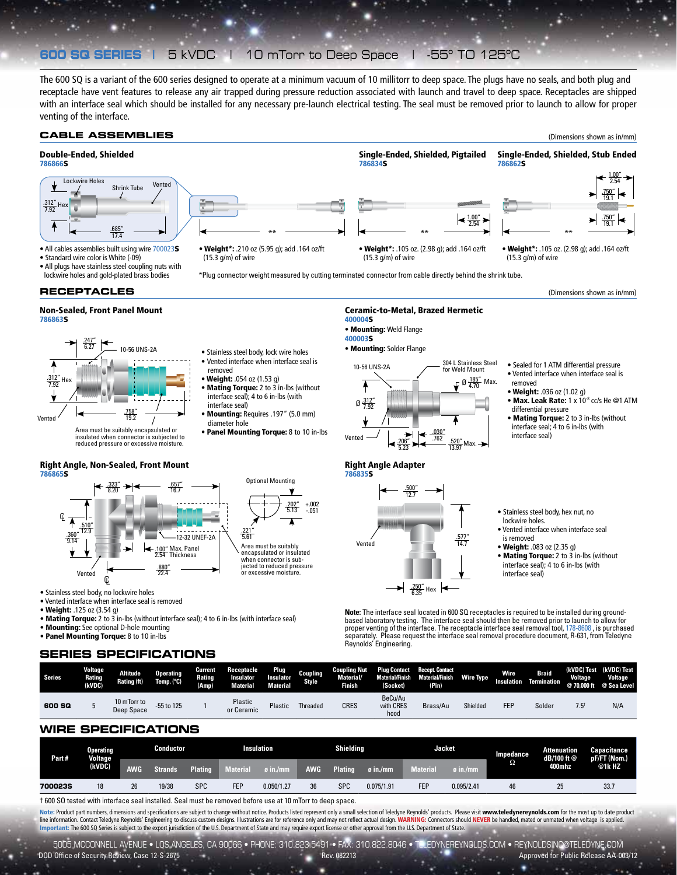# **600 SQ SERIES |** 5 kVDC | 10 mTorr to Deep Space | -55º TO 125ºC

The 600 SQ is a variant of the 600 series designed to operate at a minimum vacuum of 10 millitorr to deep space. The plugs have no seals, and both plug and receptacle have vent features to release any air trapped during pressure reduction associated with launch and travel to deep space. Receptacles are shipped with an interface seal which should be installed for any necessary pre-launch electrical testing. The seal must be removed prior to launch to allow for proper venting of the interface.



† 600 SQ tested with interface seal installed. Seal must be removed before use at 10 mTorr to deep space.

Note: Product part numbers, dimensions and specifications are subject to change without notice. Products listed represent only a small selection of Teledyne Reynolds' products. Please visit www.teledynereynolds.com for the line information. Contact Teledyne Reynolds' Engineering to discuss custom designs. Illustrations are for reference only and may not reflect actual design. WARNING: Connectors should NEVER be handled, mated or unmated when portant: The 600 SQ Series is subject to the export jurisdiction of the U.S. Department of State and may require export license or other approval from the U.S. Department of State.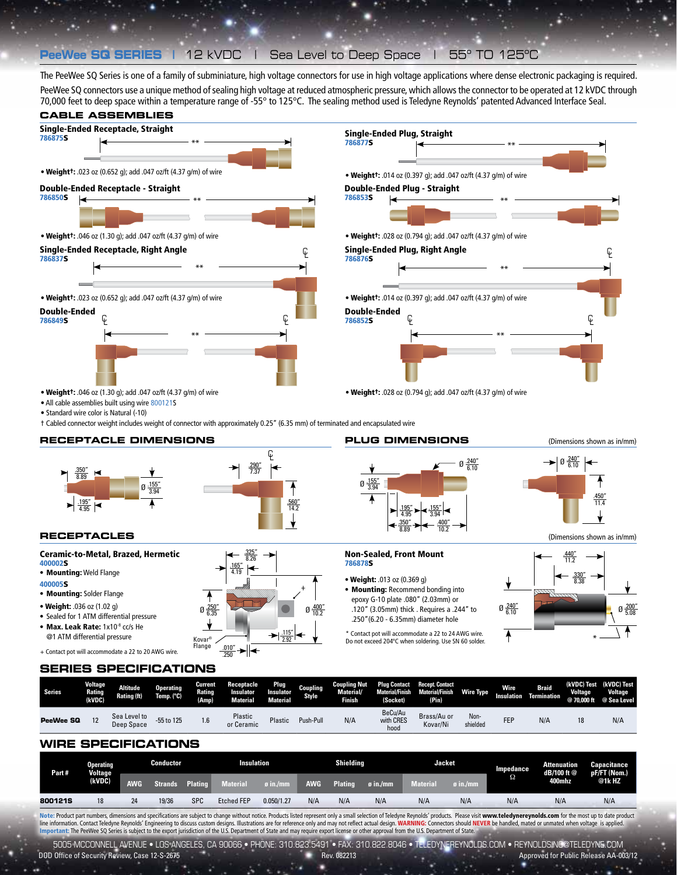## **PeeWee SQ SERIES |** 12 kVDC | Sea Level to Deep Space | 55º TO 125ºC

The PeeWee SQ Series is one of a family of subminiature, high voltage connectors for use in high voltage applications where dense electronic packaging is required.

PeeWee SQ connectors use a unique method of sealing high voltage at reduced atmospheric pressure, which allows the connector to be operated at 12 kVDC through 70,000 feet to deep space within a temperature range of -55° to 125°C. The sealing method used is Teledyne Reynolds' patented Advanced Interface Seal.



### **WIRE SPECIFICATIONS**

Sea Level to 55 to 125 1.6 Plastic<br>Deep Space 55 to 125 1.6 or Ceramic

**PeeWee SQ** 12 Sea Level to

| Part #  | Operating<br><b>Voltage</b><br>(kVDC) | Conductor  |         |                | <b>Insulation</b> |                        | <b>Shielding</b> |                |                 | <b>Jacket</b>  |                      | Impedance | <b>Attenuation</b><br>dB/100 ft @ | Capacitance<br>pF/FT (Nom.) |
|---------|---------------------------------------|------------|---------|----------------|-------------------|------------------------|------------------|----------------|-----------------|----------------|----------------------|-----------|-----------------------------------|-----------------------------|
|         |                                       | <b>AWG</b> | Strands | <b>Plating</b> | <b>Material</b>   | <b><i>o</i></b> in /mm | <b>AWG</b>       | <b>Plating</b> | $\sigma$ in./mm | <b>Materia</b> | $\mathfrak g$ in./mm | Ω         | 400mhz                            | @1kHZ                       |
| 800121S | 18                                    | 24         | 19/36   | <b>SPC</b>     | <b>Etched FEP</b> | 0.050/1.27             | N/A              | N/A            | N/A             | N/A            | N/A                  | N/A       | N/A                               | N/A                         |

with CRES hood

Brass/Au or Kovar/Ni

Plastic Push-Pull N/A

Note: Product part numbers, dimensions and specifications are subject to change without notice. Products listed represent only a small selection of Teledyne Reynolds' products. Please visit www.teledynereynolds.com for the line information. Contact Teledyne Reynolds' Engineering to discuss custom designs. Illustrations are for reference only and may not reflect actual design. WARNING: Connectors should NEVER be handled, mated or unmated when

5005 MCCONNELL AVENUE • LOS ANGELES, CA 90066 • PHONE: 310.823.5491 • FAX: 310.822.8046 • TELEDYNEREYNOLDS.COM • REYNOLDSINC@TELEDYNE.COM

DOD Office of Security Review, Case 12-S-2675 **Review Accounts to the Case AC-003/12** Rev. 082213 Approved for Public Release AA-003/12

Non-shielded FEP N/A <sup>18</sup> N/A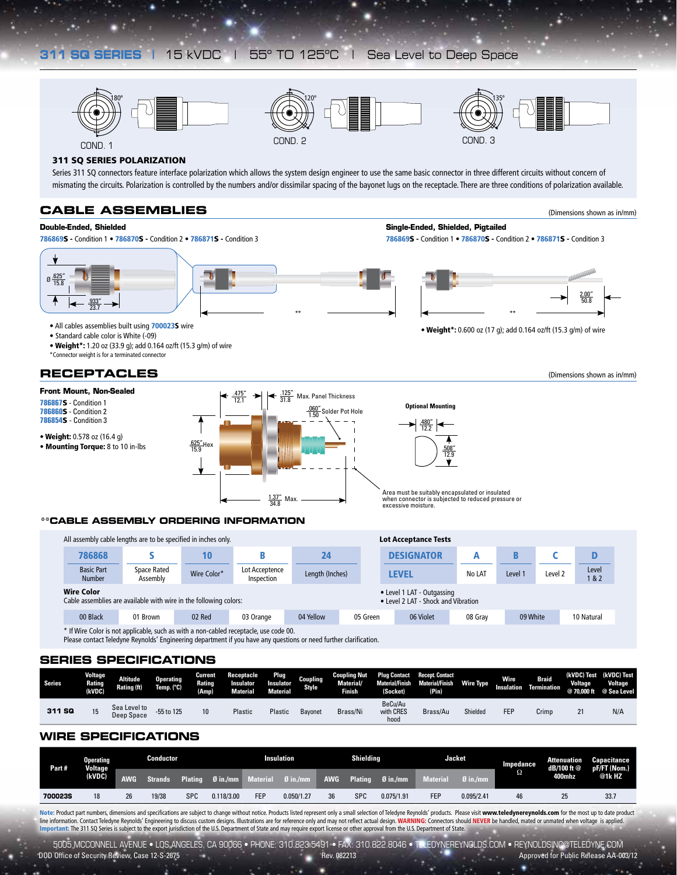# **311 SQ SERIES |** 15 kVDC | 55º TO 125ºC | Sea Level to Deep Space





Series 311 SQ connectors feature interface polarization which allows the system design engineer to use the same basic connector in three different circuits without concern of mismating the circuits. Polarization is controlled by the numbers and/or dissimilar spacing of the bayonet lugs on the receptacle. There are three conditions of polarization available.

### **CABLE ASSEMBLIES**

#### **Double-Ended, Shielded**

786869S - Condition 1 • 786870S - Condition 2 • 786871S - Condition 3 786869S - Condition 1 • 786870S - Condition 2 • 786871S - Condition 3





2.00" 50.8

**Single-Ended, Shielded, Pigtailed**

• All cables assemblies built using 700023S wire examples built using 700023S wire examples built using 700023S wire examples built using 700023S wire examples built using 700023S wire examples to the state of the state of

- 
- Standard cable color is White (-09)

• Weight\*: 1.20 oz (33.9 g); add 0.164 oz/ft (15.3 g/m) of wire \*Connector weight is for a terminated connector

### **RECEPTACLES**

(Dimensions shown as in/mm)

(Dimensions shown as in/mm)



#### **\*\*CABLE ASSEMBLY ORDERING INFORMATION**

|                                    | All assembly cable lengths are to be specified in inches only.    |                                                                   |                                                                                                       | <b>Lot Acceptance Tests</b> |          |  |                   |         |          |         |             |
|------------------------------------|-------------------------------------------------------------------|-------------------------------------------------------------------|-------------------------------------------------------------------------------------------------------|-----------------------------|----------|--|-------------------|---------|----------|---------|-------------|
| 786868                             |                                                                   | 10                                                                |                                                                                                       | 24                          |          |  | <b>DESIGNATOR</b> |         |          |         |             |
| <b>Basic Part</b><br><b>Number</b> | Space Rated<br>Assembly                                           | Wire Color*                                                       | Lot Acceptence<br>Inspection                                                                          | Length (Inches)             |          |  | <b>LEVEL</b>      | No LAT  | Level 1  | Level 2 | Level<br>82 |
| <b>Wire Color</b>                  | Cable assemblies are available with wire in the following colors: | • Level 1 LAT - Outgassing<br>• Level 2 LAT - Shock and Vibration |                                                                                                       |                             |          |  |                   |         |          |         |             |
| 00 Black                           | 01 Brown                                                          | 02 Red                                                            | 03 Orange                                                                                             | 04 Yellow                   | 05 Green |  | 06 Violet         | 08 Grav | 09 White |         | 10 Natural  |
|                                    |                                                                   |                                                                   | $\star$ if Wine Calax is not confinable, quality as white a non-calabra secondarily was as de 00 $\,$ |                             |          |  |                   |         |          |         |             |

f Wire Color is not applicable, such as with a non-cabled receptacle, use code 00 Please contact Teledyne Reynolds' Engineering department if you have any questions or need further clarification.

### **SERIES SPECIFICATIONS**

| Series | <b>Voltage</b><br>Rating<br>(kVDC) | <b>Altitude</b><br>Rating (ft) | <b>Operating</b><br>Temp. (°C) | Current<br>Rating<br>(Amp) | Receptacle<br>Insulator<br><b>Material</b> | Plug<br>Insulator<br><b>Material</b> | Coupling<br><b>Style</b> | <b>Coupling Nut</b><br>Material/<br><b>Tinish</b> | (Socket)                     | Plug Contact Recept. Contact<br><b>Material/Finish Material/Finish</b><br>(Pin) | <b>Wire Type</b> | Wire<br><b>Insulation</b> | <b>Braid</b><br>Termination | <b>Voltage</b><br>@70.000 ft | (kVDC) Test (kVDC) Test<br><b>Voltage</b><br>@ Sea Level |
|--------|------------------------------------|--------------------------------|--------------------------------|----------------------------|--------------------------------------------|--------------------------------------|--------------------------|---------------------------------------------------|------------------------------|---------------------------------------------------------------------------------|------------------|---------------------------|-----------------------------|------------------------------|----------------------------------------------------------|
| 311 SQ | 15                                 | Sea Level to<br>Deep Space     | -55 to 125                     | 10                         | Plastic                                    | Plastic                              | Bavonet                  | Brass/Ni                                          | BeCu/Au<br>with CRES<br>hood | Brass/Au                                                                        | Shielded         | <b>FEF</b>                | Crimp                       | 21                           | N/A                                                      |

### **WIRE SPECIFICATIONS**

| Part#   | Operating<br><b>Voltage</b> | Conductor  |                |                | Shielding<br>Insulation |                 |                 |            |                | <b>Jacket</b> | Impedance  | <b>Attenuation</b><br>dB/100 ft @ | Capacitance<br>pF/FT (Nom.) |        |       |
|---------|-----------------------------|------------|----------------|----------------|-------------------------|-----------------|-----------------|------------|----------------|---------------|------------|-----------------------------------|-----------------------------|--------|-------|
|         | (kVDC)                      | <b>AWG</b> | <b>Strands</b> | <b>Plating</b> | $Q$ in./mm              | <b>Material</b> | $\alpha$ in /mm | <b>AWG</b> | <b>Plating</b> | $Ø$ in./mm    | Material   | $\emptyset$ in /mm                | Ω                           | 400mhz | @1kHZ |
| 7000235 | 18                          | 26         | 19/38          | <b>SPC</b>     | 0.118/3.00              | <b>FEP</b>      | 0.050/1.27      | 36         | SPC            | 0.075/1.91    | <b>FEP</b> | 0.095/2.41                        | 46                          | 25     | 33.7  |

Note: Product part numbers, dimensions and specifications are subject to change without notice. Products listed represent only a small selection of Teledyne Reynolds' products. Please visit www.teledynereynolds.com for the line information. Contact Teledyne Reynolds' Engineering to discuss custom designs. Illustrations are for reference only and may not reflect actual design. WARNING: Connectors should NEVER be handled, mated or unmated when Important: The 311 SQ Series is subject to the export jurisdiction of the U.S. Department of State and may require export license or other approval from the U.S. Department of State.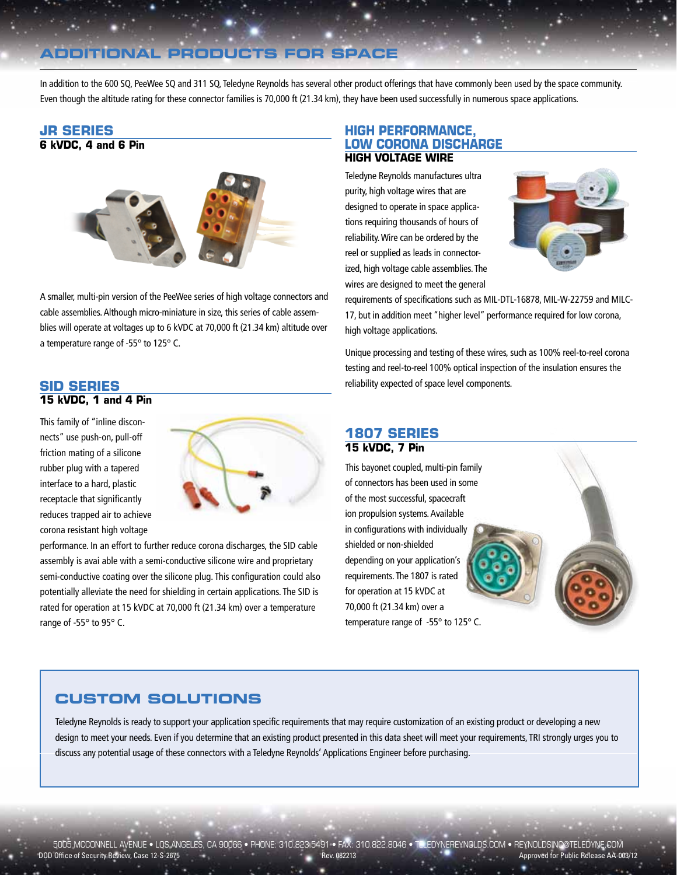# **ADDITIONAL PRODUCTS FOR SPACE**

In addition to the 600 SQ, PeeWee SQ and 311 SQ, Teledyne Reynolds has several other product offerings that have commonly been used by the space community. Even though the altitude rating for these connector families is 70,000 ft (21.34 km), they have been used successfully in numerous space applications.

### **JR SERIES 6 kVDC, 4 and 6 Pin**



A smaller, multi-pin version of the PeeWee series of high voltage connectors and cable assemblies. Although micro-miniature in size, this series of cable assemblies will operate at voltages up to 6 kVDC at 70,000 ft (21.34 km) altitude over a temperature range of -55° to 125° C.

### **SID SERIES**

### **15 kVDC, 1 and 4 Pin**

This family of "inline disconnects" use push-on, pull-off friction mating of a silicone rubber plug with a tapered interface to a hard, plastic receptacle that significantly reduces trapped air to achieve corona resistant high voltage



performance. In an effort to further reduce corona discharges, the SID cable assembly is avai able with a semi-conductive silicone wire and proprietary semi-conductive coating over the silicone plug. This configuration could also potentially alleviate the need for shielding in certain applications. The SID is rated for operation at 15 kVDC at 70,000 ft (21.34 km) over a temperature range of -55° to 95° C.

### **HIGH PERFORMANCE, LOW CORONA DISCHARGE HIGH VOLTAGE WIRE**

Teledyne Reynolds manufactures ultra purity, high voltage wires that are designed to operate in space applications requiring thousands of hours of reliability. Wire can be ordered by the reel or supplied as leads in connectorized, high voltage cable assemblies. The wires are designed to meet the general



requirements of specifications such as MIL-DTL-16878, MIL-W-22759 and MILC-17, but in addition meet "higher level" performance required for low corona, high voltage applications.

Unique processing and testing of these wires, such as 100% reel-to-reel corona testing and reel-to-reel 100% optical inspection of the insulation ensures the reliability expected of space level components.

### **1807 SERIES 15 kVDC, 7 Pin**

This bayonet coupled, multi-pin family of connectors has been used in some of the most successful, spacecraft ion propulsion systems. Available in configurations with individually shielded or non-shielded depending on your application's requirements. The 1807 is rated for operation at 15 kVDC at 70,000 ft (21.34 km) over a temperature range of -55° to 125° C.

# **CUSTOM SOLUTIONS**

Teledyne Reynolds is ready to support your application specific requirements that may require customization of an existing product or developing a new design to meet your needs. Even if you determine that an existing product presented in this data sheet will meet your requirements, TRI strongly urges you to discuss any potential usage of these connectors with a Teledyne Reynolds' Applications Engineer before purchasing.